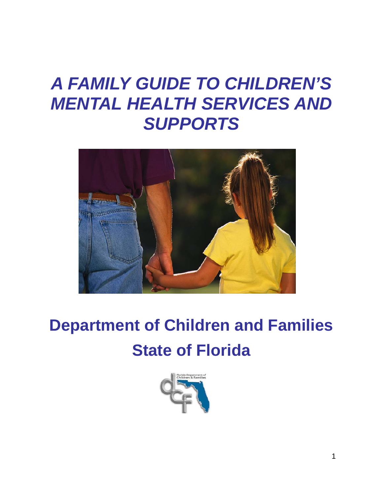# *A FAMILY GUIDE TO CHILDREN'S MENTAL HEALTH SERVICES AND SUPPORTS*



# **Department of Children and Families State of Florida**

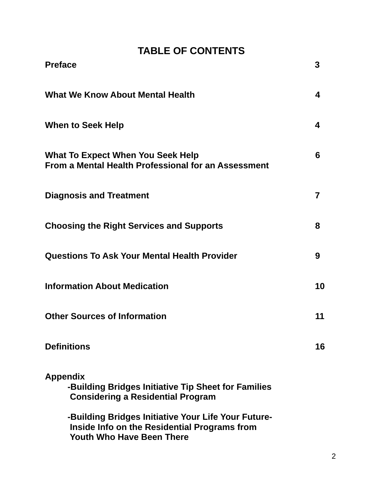# **TABLE OF CONTENTS**

| <b>Preface</b>                                                                                                                          | 3              |
|-----------------------------------------------------------------------------------------------------------------------------------------|----------------|
| <b>What We Know About Mental Health</b>                                                                                                 | 4              |
| <b>When to Seek Help</b>                                                                                                                | 4              |
| What To Expect When You Seek Help<br>From a Mental Health Professional for an Assessment                                                | 6              |
| <b>Diagnosis and Treatment</b>                                                                                                          | $\overline{7}$ |
| <b>Choosing the Right Services and Supports</b>                                                                                         | 8              |
| <b>Questions To Ask Your Mental Health Provider</b>                                                                                     | 9              |
| <b>Information About Medication</b>                                                                                                     | 10             |
| <b>Other Sources of Information</b>                                                                                                     | 11             |
| <b>Definitions</b>                                                                                                                      | 16             |
| <b>Appendix</b><br>-Building Bridges Initiative Tip Sheet for Families<br><b>Considering a Residential Program</b>                      |                |
| -Building Bridges Initiative Your Life Your Future-<br>Inside Info on the Residential Programs from<br><b>Youth Who Have Been There</b> |                |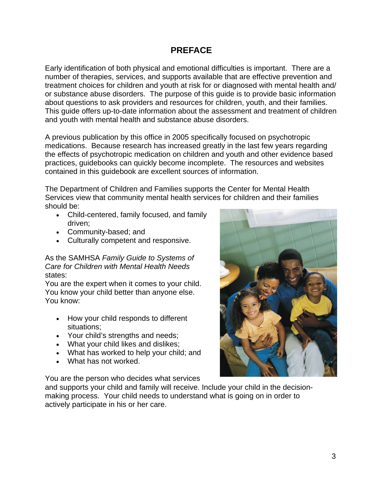## **PREFACE**

Early identification of both physical and emotional difficulties is important. There are a number of therapies, services, and supports available that are effective prevention and treatment choices for children and youth at risk for or diagnosed with mental health and/ or substance abuse disorders. The purpose of this guide is to provide basic information about questions to ask providers and resources for children, youth, and their families. This guide offers up-to-date information about the assessment and treatment of children and youth with mental health and substance abuse disorders.

A previous publication by this office in 2005 specifically focused on psychotropic medications. Because research has increased greatly in the last few years regarding the effects of psychotropic medication on children and youth and other evidence based practices, guidebooks can quickly become incomplete. The resources and websites contained in this guidebook are excellent sources of information.

The Department of Children and Families supports the Center for Mental Health Services view that community mental health services for children and their families should be:

- Child-centered, family focused, and family driven;
- Community-based; and
- Culturally competent and responsive.

As the SAMHSA *Family Guide to Systems of Care for Children with Mental Health Needs*  states:

 You know your child better than anyone else. You are the expert when it comes to your child. You know:

- How your child responds to different situations;
- Your child's strengths and needs;
- What your child likes and dislikes;
- What has worked to help your child; and
- What has not worked.

You are the person who decides what services

and supports your child and family will receive. Include your child in the decisionmaking process. Your child needs to understand what is going on in order to actively participate in his or her care.

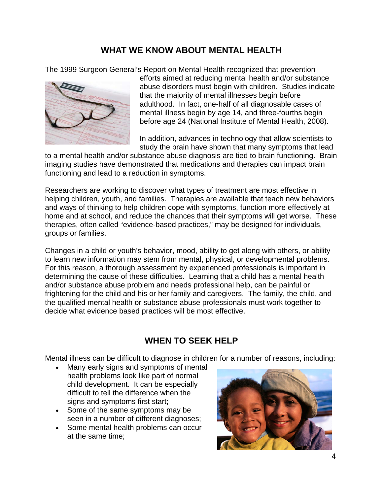# **WHAT WE KNOW ABOUT MENTAL HEALTH**

The 1999 Surgeon General's Report on Mental Health recognized that prevention



efforts aimed at reducing mental health and/or substance abuse disorders must begin with children. Studies indicate that the majority of mental illnesses begin before adulthood. In fact, one-half of all diagnosable cases of mental illness begin by age 14, and three-fourths begin before age 24 (National Institute of Mental Health, 2008).

In addition, advances in technology that allow scientists to study the brain have shown that many symptoms that lead

to a mental health and/or substance abuse diagnosis are tied to brain functioning. Brain imaging studies have demonstrated that medications and therapies can impact brain functioning and lead to a reduction in symptoms.

Researchers are working to discover what types of treatment are most effective in helping children, youth, and families. Therapies are available that teach new behaviors and ways of thinking to help children cope with symptoms, function more effectively at home and at school, and reduce the chances that their symptoms will get worse. These therapies, often called "evidence-based practices," may be designed for individuals, groups or families.

Changes in a child or youth's behavior, mood, ability to get along with others, or ability to learn new information may stem from mental, physical, or developmental problems. For this reason, a thorough assessment by experienced professionals is important in determining the cause of these difficulties. Learning that a child has a mental health and/or substance abuse problem and needs professional help, can be painful or frightening for the child and his or her family and caregivers. The family, the child, and the qualified mental health or substance abuse professionals must work together to decide what evidence based practices will be most effective.

# **WHEN TO SEEK HELP**

Mental illness can be difficult to diagnose in children for a number of reasons, including:

- Many early signs and symptoms of mental health problems look like part of normal child development. It can be especially difficult to tell the difference when the signs and symptoms first start;
- Some of the same symptoms may be seen in a number of different diagnoses;
- Some mental health problems can occur at the same time;

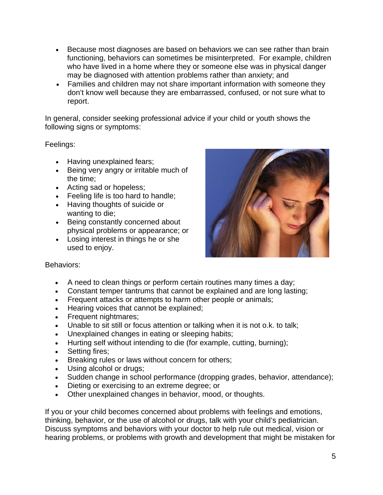- Because most diagnoses are based on behaviors we can see rather than brain functioning, behaviors can sometimes be misinterpreted. For example, children who have lived in a home where they or someone else was in physical danger may be diagnosed with attention problems rather than anxiety; and
- Families and children may not share important information with someone they don't know well because they are embarrassed, confused, or not sure what to report.

In general, consider seeking professional advice if your child or youth shows the following signs or symptoms:

Feelings:

- Having unexplained fears;
- Being very angry or irritable much of the time;
- Acting sad or hopeless;
- Feeling life is too hard to handle;
- Having thoughts of suicide or wanting to die;
- Being constantly concerned about physical problems or appearance; or
- Losing interest in things he or she used to enjoy.



#### Behaviors:

- A need to clean things or perform certain routines many times a day;
- Constant temper tantrums that cannot be explained and are long lasting;
- Frequent attacks or attempts to harm other people or animals;
- Hearing voices that cannot be explained;
- Frequent nightmares;
- Unable to sit still or focus attention or talking when it is not o.k. to talk;
- Unexplained changes in eating or sleeping habits;
- Hurting self without intending to die (for example, cutting, burning);
- Setting fires:
- Breaking rules or laws without concern for others;
- Using alcohol or drugs;
- Sudden change in school performance (dropping grades, behavior, attendance);
- Dieting or exercising to an extreme degree; or
- Other unexplained changes in behavior, mood, or thoughts.

If you or your child becomes concerned about problems with feelings and emotions, thinking, behavior, or the use of alcohol or drugs, talk with your child's pediatrician. Discuss symptoms and behaviors with your doctor to help rule out medical, vision or hearing problems, or problems with growth and development that might be mistaken for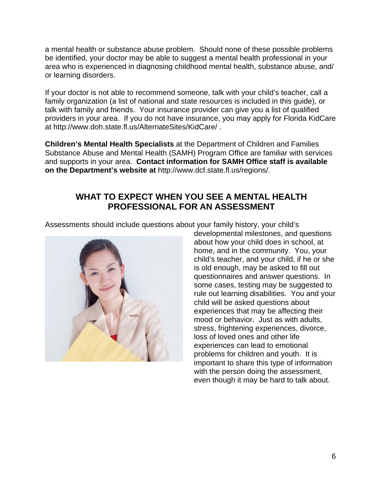a mental health or substance abuse problem. Should none of these possible problems be identified, your doctor may be able to suggest a mental health professional in your area who is experienced in diagnosing childhood mental health, substance abuse, and/ or learning disorders.

If your doctor is not able to recommend someone, talk with your child's teacher, call a family organization (a list of national and state resources is included in this guide), or talk with family and friends. Your insurance provider can give you a list of qualified providers in your area. If you do not have insurance, you may apply for Florida KidCare at http://www.doh.state.fl.us/AlternateSites/KidCare/ .

**Children's Mental Health Specialists** at the Department of Children and Families Substance Abuse and Mental Health (SAMH) Program Office are familiar with services and supports in your area. **Contact information for SAMH Office staff is available on the Department's website at** http://www.dcf.state.fl.us/regions/.

# **WHAT TO EXPECT WHEN YOU SEE A MENTAL HEALTH PROFESSIONAL FOR AN ASSESSMENT**

Assessments should include questions about your family history, your child's



developmental milestones, and questions about how your child does in school, at home, and in the community. You, your child's teacher, and your child, if he or she is old enough, may be asked to fill out questionnaires and answer questions. In some cases, testing may be suggested to rule out learning disabilities. You and your child will be asked questions about experiences that may be affecting their mood or behavior. Just as with adults, stress, frightening experiences, divorce, loss of loved ones and other life experiences can lead to emotional problems for children and youth. It is important to share this type of information with the person doing the assessment, even though it may be hard to talk about.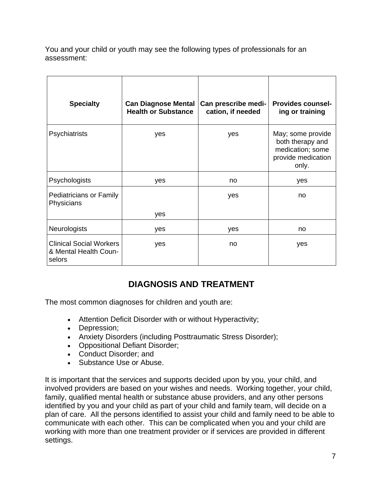You and your child or youth may see the following types of professionals for an assessment:

| <b>Specialty</b>                                                  | <b>Can Diagnose Mental</b><br><b>Health or Substance</b> | Can prescribe medi-<br>cation, if needed | <b>Provides counsel-</b><br>ing or training                                              |
|-------------------------------------------------------------------|----------------------------------------------------------|------------------------------------------|------------------------------------------------------------------------------------------|
| Psychiatrists                                                     | yes                                                      | yes                                      | May; some provide<br>both therapy and<br>medication; some<br>provide medication<br>only. |
| Psychologists                                                     | yes                                                      | no                                       | yes                                                                                      |
| <b>Pediatricians or Family</b><br>Physicians                      | yes                                                      | yes                                      | no                                                                                       |
|                                                                   |                                                          |                                          |                                                                                          |
| <b>Neurologists</b>                                               | yes                                                      | yes                                      | no                                                                                       |
| <b>Clinical Social Workers</b><br>& Mental Health Coun-<br>selors | yes                                                      | no                                       | yes                                                                                      |

# **DIAGNOSIS AND TREATMENT**

The most common diagnoses for children and youth are:

- Attention Deficit Disorder with or without Hyperactivity;
- Depression;
- Anxiety Disorders (including Posttraumatic Stress Disorder);
- Oppositional Defiant Disorder;
- Conduct Disorder; and
- Substance Use or Abuse.

It is important that the services and supports decided upon by you, your child, and involved providers are based on your wishes and needs. Working together, your child, family, qualified mental health or substance abuse providers, and any other persons identified by you and your child as part of your child and family team, will decide on a plan of care. All the persons identified to assist your child and family need to be able to communicate with each other. This can be complicated when you and your child are working with more than one treatment provider or if services are provided in different settings.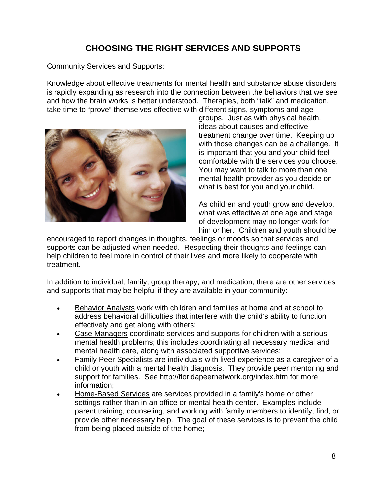# **CHOOSING THE RIGHT SERVICES AND SUPPORTS**

Community Services and Supports:

Knowledge about effective treatments for mental health and substance abuse disorders is rapidly expanding as research into the connection between the behaviors that we see and how the brain works is better understood. Therapies, both "talk" and medication, take time to "prove" themselves effective with different signs, symptoms and age



groups. Just as with physical health, ideas about causes and effective treatment change over time. Keeping up with those changes can be a challenge. It is important that you and your child feel comfortable with the services you choose. You may want to talk to more than one mental health provider as you decide on what is best for you and your child.

As children and youth grow and develop, what was effective at one age and stage of development may no longer work for him or her. Children and youth should be

encouraged to report changes in thoughts, feelings or moods so that services and supports can be adjusted when needed. Respecting their thoughts and feelings can help children to feel more in control of their lives and more likely to cooperate with treatment.

In addition to individual, family, group therapy, and medication, there are other services and supports that may be helpful if they are available in your community:

- Behavior Analysts work with children and families at home and at school to address behavioral difficulties that interfere with the child's ability to function effectively and get along with others;
- Case Managers coordinate services and supports for children with a serious mental health problems; this includes coordinating all necessary medical and mental health care, along with associated supportive services;
- Family Peer Specialists are individuals with lived experience as a caregiver of a child or youth with a mental health diagnosis. They provide peer mentoring and support for families. See http://floridapeernetwork.org/index.htm for more information;
- Home-Based Services are services provided in a family's home or other settings rather than in an office or mental health center. Examples include parent training, counseling, and working with family members to identify, find, or provide other necessary help. The goal of these services is to prevent the child from being placed outside of the home;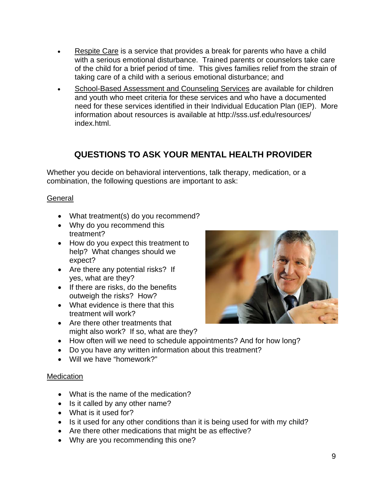- Respite Care is a service that provides a break for parents who have a child with a serious emotional disturbance. Trained parents or counselors take care of the child for a brief period of time. This gives families relief from the strain of taking care of a child with a serious emotional disturbance; and
- School-Based Assessment and Counseling Services are available for children and youth who meet criteria for these services and who have a documented need for these services identified in their Individual Education Plan (IEP). More information about resources is available at http://sss.usf.edu/resources/ index.html.

# **QUESTIONS TO ASK YOUR MENTAL HEALTH PROVIDER**

Whether you decide on behavioral interventions, talk therapy, medication, or a combination, the following questions are important to ask:

#### **General**

- What treatment(s) do you recommend?
- Why do you recommend this treatment?
- How do you expect this treatment to help? What changes should we expect?
- Are there any potential risks? If yes, what are they?
- If there are risks, do the benefits outweigh the risks? How?
- What evidence is there that this treatment will work?
- Are there other treatments that might also work? If so, what are they?



- How often will we need to schedule appointments? And for how long?
- Do you have any written information about this treatment?
- Will we have "homework?"

#### Medication

- What is the name of the medication?
- Is it called by any other name?
- What is it used for?
- Is it used for any other conditions than it is being used for with my child?
- Are there other medications that might be as effective?
- Why are you recommending this one?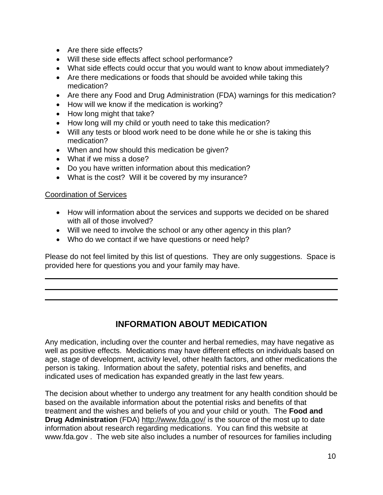- Are there side effects?
- Will these side effects affect school performance?
- What side effects could occur that you would want to know about immediately?
- Are there medications or foods that should be avoided while taking this medication?
- Are there any Food and Drug Administration (FDA) warnings for this medication?
- How will we know if the medication is working?
- How long might that take?
- How long will my child or youth need to take this medication?
- Will any tests or blood work need to be done while he or she is taking this medication?
- When and how should this medication be given?
- What if we miss a dose?
- Do you have written information about this medication?
- What is the cost? Will it be covered by my insurance?

#### Coordination of Services

- How will information about the services and supports we decided on be shared with all of those involved?
- Will we need to involve the school or any other agency in this plan?
- Who do we contact if we have questions or need help?

Please do not feel limited by this list of questions. They are only suggestions. Space is provided here for questions you and your family may have.

# **INFORMATION ABOUT MEDICATION**

Any medication, including over the counter and herbal remedies, may have negative as well as positive effects. Medications may have different effects on individuals based on age, stage of development, activity level, other health factors, and other medications the person is taking. Information about the safety, potential risks and benefits, and indicated uses of medication has expanded greatly in the last few years.

The decision about whether to undergo any treatment for any health condition should be based on the available information about the potential risks and benefits of that treatment and the wishes and beliefs of you and your child or youth. The **Food and Drug Administration** (FDA) http://www.fda.gov/ is the source of the most up to date information about research regarding medications. You can find this website at www.fda.gov . The web site also includes a number of resources for families including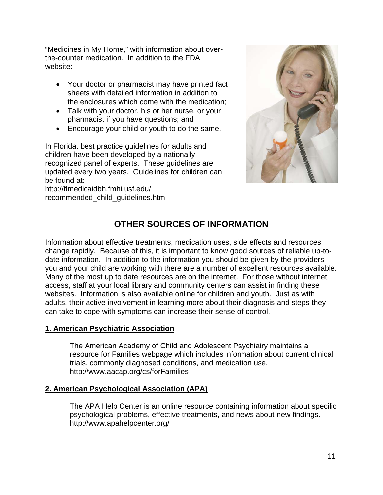"Medicines in My Home," with information about overthe-counter medication. In addition to the FDA website:

- Your doctor or pharmacist may have printed fact sheets with detailed information in addition to the enclosures which come with the medication;
- Talk with your doctor, his or her nurse, or your pharmacist if you have questions; and
- Encourage your child or youth to do the same.

In Florida, best practice guidelines for adults and children have been developed by a nationally recognized panel of experts. These guidelines are updated every two years. Guidelines for children can be found at:

http://flmedicaidbh.fmhi.usf.edu/ recommended\_child\_guidelines.htm



# **OTHER SOURCES OF INFORMATION**

Information about effective treatments, medication uses, side effects and resources change rapidly. Because of this, it is important to know good sources of reliable up-todate information. In addition to the information you should be given by the providers you and your child are working with there are a number of excellent resources available. Many of the most up to date resources are on the internet. For those without internet access, staff at your local library and community centers can assist in finding these websites. Information is also available online for children and youth. Just as with adults, their active involvement in learning more about their diagnosis and steps they can take to cope with symptoms can increase their sense of control.

#### **1. American Psychiatric Association**

The American Academy of Child and Adolescent Psychiatry maintains a resource for Families webpage which includes information about current clinical trials, commonly diagnosed conditions, and medication use. http://www.aacap.org/cs/forFamilies

#### **2. American Psychological Association (APA)**

The APA Help Center is an online resource containing information about specific psychological problems, effective treatments, and news about new findings. http://www.apahelpcenter.org/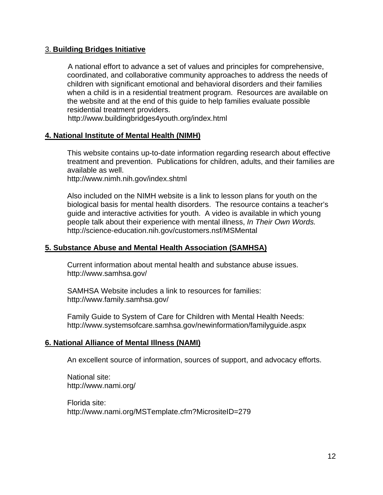#### 3. **Building Bridges Initiative**

A national effort to advance a set of values and principles for comprehensive, coordinated, and collaborative community approaches to address the needs of children with significant emotional and behavioral disorders and their families when a child is in a residential treatment program. Resources are available on the website and at the end of this guide to help families evaluate possible residential treatment providers.

http://www.buildingbridges4youth.org/index.html

#### **4. National Institute of Mental Health (NIMH)**

This website contains up-to-date information regarding research about effective treatment and prevention. Publications for children, adults, and their families are available as well.

http://www.nimh.nih.gov/index.shtml

Also included on the NIMH website is a link to lesson plans for youth on the biological basis for mental health disorders. The resource contains a teacher's guide and interactive activities for youth. A video is available in which young people talk about their experience with mental illness, *In Their Own Words.*  http://science-education.nih.gov/customers.nsf/MSMental

#### **5. Substance Abuse and Mental Health Association (SAMHSA)**

Current information about mental health and substance abuse issues. http://www.samhsa.gov/

SAMHSA Website includes a link to resources for families: http://www.family.samhsa.gov/

Family Guide to System of Care for Children with Mental Health Needs: http://www.systemsofcare.samhsa.gov/newinformation/familyguide.aspx

#### **6. National Alliance of Mental Illness (NAMI)**

An excellent source of information, sources of support, and advocacy efforts.

National site: http://www.nami.org/

Florida site: http://www.nami.org/MSTemplate.cfm?MicrositeID=279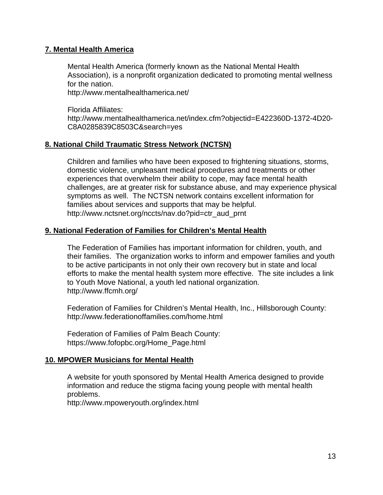#### **7. Mental Health America**

Mental Health America (formerly known as the National Mental Health Association), is a nonprofit organization dedicated to promoting mental wellness for the nation.

http://www.mentalhealthamerica.net/

Florida Affiliates: http://www.mentalhealthamerica.net/index.cfm?objectid=E422360D-1372-4D20- C8A0285839C8503C&search=yes

#### **8. National Child Traumatic Stress Network (NCTSN)**

Children and families who have been exposed to frightening situations, storms, domestic violence, unpleasant medical procedures and treatments or other experiences that overwhelm their ability to cope, may face mental health challenges, are at greater risk for substance abuse, and may experience physical symptoms as well. The NCTSN network contains excellent information for families about services and supports that may be helpful. http://www.nctsnet.org/nccts/nav.do?pid=ctr\_aud\_prnt

#### **9. National Federation of Families for Children's Mental Health**

The Federation of Families has important information for children, youth, and their families. The organization works to inform and empower families and youth to be active participants in not only their own recovery but in state and local efforts to make the mental health system more effective. The site includes a link to Youth Move National, a youth led national organization. http://www.ffcmh.org/

Federation of Families for Children's Mental Health, Inc., Hillsborough County: http://www.federationoffamilies.com/home.html

Federation of Families of Palm Beach County: https://www.fofopbc.org/Home\_Page.html

#### **10. MPOWER Musicians for Mental Health**

A website for youth sponsored by Mental Health America designed to provide information and reduce the stigma facing young people with mental health problems.

http://www.mpoweryouth.org/index.html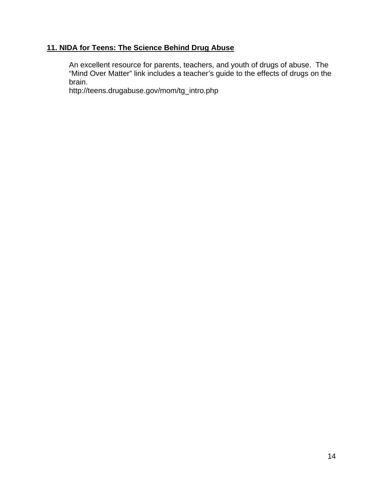#### **11. NIDA for Teens: The Science Behind Drug Abuse**

An excellent resource for parents, teachers, and youth of drugs of abuse. The "Mind Over Matter" link includes a teacher's guide to the effects of drugs on the brain.

http://teens.drugabuse.gov/mom/tg\_intro.php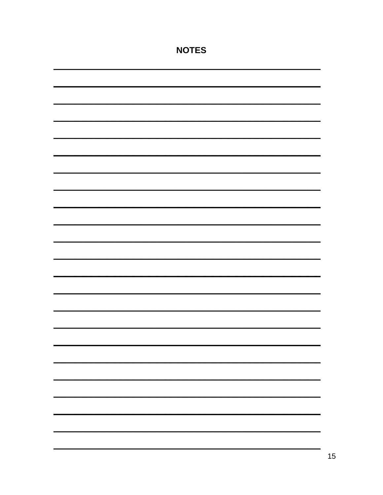| <b>NOTES</b> |  |  |  |
|--------------|--|--|--|
|              |  |  |  |
|              |  |  |  |
|              |  |  |  |
|              |  |  |  |
|              |  |  |  |
|              |  |  |  |
|              |  |  |  |
|              |  |  |  |
|              |  |  |  |
|              |  |  |  |
|              |  |  |  |
|              |  |  |  |
|              |  |  |  |
|              |  |  |  |
|              |  |  |  |
|              |  |  |  |
|              |  |  |  |
|              |  |  |  |
|              |  |  |  |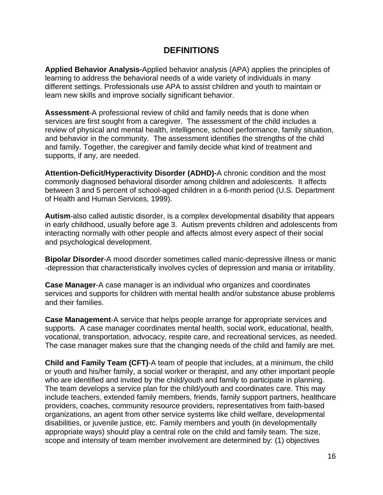#### **DEFINITIONS**

**Applied Behavior Analysis-**Applied behavior analysis (APA) applies the principles of learning to address the behavioral needs of a wide variety of individuals in many different settings. Professionals use APA to assist children and youth to maintain or learn new skills and improve socially significant behavior.

**Assessment**-A professional review of child and family needs that is done when services are first sought from a caregiver. The assessment of the child includes a review of physical and mental health, intelligence, school performance, family situation, and behavior in the community. The assessment identifies the strengths of the child and family. Together, the caregiver and family decide what kind of treatment and supports, if any, are needed.

**Attention-Deficit/Hyperactivity Disorder (ADHD)-**A chronic condition and the most commonly diagnosed behavioral disorder among children and adolescents. It affects between 3 and 5 percent of school-aged children in a 6-month period (U.S. Department of Health and Human Services, 1999).

**Autism**-also called autistic disorder, is a complex developmental disability that appears in early childhood, usually before age 3. Autism prevents children and adolescents from interacting normally with other people and affects almost every aspect of their social and psychological development.

**Bipolar Disorder**-A mood disorder sometimes called manic-depressive illness or manic -depression that characteristically involves cycles of depression and mania or irritability.

**Case Manager**-A case manager is an individual who organizes and coordinates services and supports for children with mental health and/or substance abuse problems and their families.

**Case Management**-A service that helps people arrange for appropriate services and supports. A case manager coordinates mental health, social work, educational, health, vocational, transportation, advocacy, respite care, and recreational services, as needed. The case manager makes sure that the changing needs of the child and family are met.

**Child and Family Team (CFT)**-A team of people that includes, at a minimum, the child or youth and his/her family, a social worker or therapist, and any other important people who are identified and invited by the child/youth and family to participate in planning. The team develops a service plan for the child/youth and coordinates care. This may include teachers, extended family members, friends, family support partners, healthcare providers, coaches, community resource providers, representatives from faith-based organizations, an agent from other service systems like child welfare, developmental disabilities, or juvenile justice, etc. Family members and youth (in developmentally appropriate ways) should play a central role on the child and family team. The size, scope and intensity of team member involvement are determined by: (1) objectives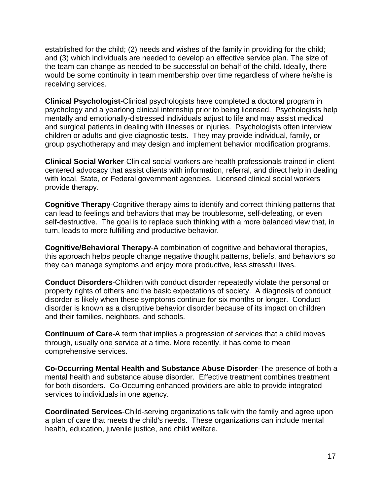established for the child; (2) needs and wishes of the family in providing for the child; and (3) which individuals are needed to develop an effective service plan. The size of the team can change as needed to be successful on behalf of the child. Ideally, there would be some continuity in team membership over time regardless of where he/she is receiving services.

**Clinical Psychologist**-Clinical psychologists have completed a doctoral program in psychology and a yearlong clinical internship prior to being licensed. Psychologists help mentally and emotionally-distressed individuals adjust to life and may assist medical and surgical patients in dealing with illnesses or injuries. Psychologists often interview children or adults and give diagnostic tests. They may provide individual, family, or group psychotherapy and may design and implement behavior modification programs.

**Clinical Social Worker**-Clinical social workers are health professionals trained in clientcentered advocacy that assist clients with information, referral, and direct help in dealing with local, State, or Federal government agencies. Licensed clinical social workers provide therapy.

**Cognitive Therapy**-Cognitive therapy aims to identify and correct thinking patterns that can lead to feelings and behaviors that may be troublesome, self-defeating, or even self-destructive. The goal is to replace such thinking with a more balanced view that, in turn, leads to more fulfilling and productive behavior.

**Cognitive/Behavioral Therapy**-A combination of cognitive and behavioral therapies, this approach helps people change negative thought patterns, beliefs, and behaviors so they can manage symptoms and enjoy more productive, less stressful lives.

**Conduct Disorders**-Children with conduct disorder repeatedly violate the personal or property rights of others and the basic expectations of society. A diagnosis of conduct disorder is likely when these symptoms continue for six months or longer. Conduct disorder is known as a disruptive behavior disorder because of its impact on children and their families, neighbors, and schools.

**Continuum of Care**-A term that implies a progression of services that a child moves through, usually one service at a time. More recently, it has come to mean comprehensive services.

**Co-Occurring Mental Health and Substance Abuse Disorder**-The presence of both a mental health and substance abuse disorder. Effective treatment combines treatment for both disorders. Co-Occurring enhanced providers are able to provide integrated services to individuals in one agency.

**Coordinated Services**-Child-serving organizations talk with the family and agree upon a plan of care that meets the child's needs. These organizations can include mental health, education, juvenile justice, and child welfare.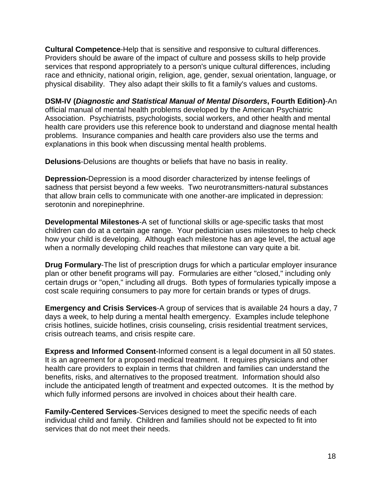**Cultural Competence**-Help that is sensitive and responsive to cultural differences. Providers should be aware of the impact of culture and possess skills to help provide services that respond appropriately to a person's unique cultural differences, including race and ethnicity, national origin, religion, age, gender, sexual orientation, language, or physical disability. They also adapt their skills to fit a family's values and customs.

**DSM-IV (***Diagnostic and Statistical Manual of Mental Disorders***, Fourth Edition)**-An official manual of mental health problems developed by the American Psychiatric Association. Psychiatrists, psychologists, social workers, and other health and mental health care providers use this reference book to understand and diagnose mental health problems. Insurance companies and health care providers also use the terms and explanations in this book when discussing mental health problems.

**Delusions**-Delusions are thoughts or beliefs that have no basis in reality.

**Depression-**Depression is a mood disorder characterized by intense feelings of sadness that persist beyond a few weeks. Two neurotransmitters-natural substances that allow brain cells to communicate with one another-are implicated in depression: serotonin and norepinephrine.

**Developmental Milestones**-A set of functional skills or age-specific tasks that most children can do at a certain age range. Your pediatrician uses milestones to help check how your child is developing. Although each milestone has an age level, the actual age when a normally developing child reaches that milestone can vary quite a bit.

**Drug Formulary**-The list of prescription drugs for which a particular employer insurance plan or other benefit programs will pay. Formularies are either "closed," including only certain drugs or "open," including all drugs. Both types of formularies typically impose a cost scale requiring consumers to pay more for certain brands or types of drugs.

**Emergency and Crisis Services**-A group of services that is available 24 hours a day, 7 days a week, to help during a mental health emergency. Examples include telephone crisis hotlines, suicide hotlines, crisis counseling, crisis residential treatment services, crisis outreach teams, and crisis respite care.

**Express and Informed Consent**-Informed consent is a legal document in all 50 states. It is an agreement for a proposed medical treatment. It requires physicians and other health care providers to explain in terms that children and families can understand the benefits, risks, and alternatives to the proposed treatment. Information should also include the anticipated length of treatment and expected outcomes. It is the method by which fully informed persons are involved in choices about their health care.

**Family-Centered Services**-Services designed to meet the specific needs of each individual child and family. Children and families should not be expected to fit into services that do not meet their needs.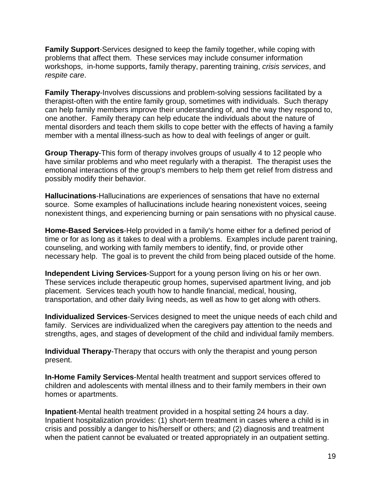**Family Support**-Services designed to keep the family together, while coping with problems that affect them. These services may include consumer information workshops, in-home supports, family therapy, parenting training, *crisis services*, and *respite care*.

**Family Therapy**-Involves discussions and problem-solving sessions facilitated by a therapist-often with the entire family group, sometimes with individuals. Such therapy can help family members improve their understanding of, and the way they respond to, one another. Family therapy can help educate the individuals about the nature of mental disorders and teach them skills to cope better with the effects of having a family member with a mental illness-such as how to deal with feelings of anger or guilt.

**Group Therapy**-This form of therapy involves groups of usually 4 to 12 people who have similar problems and who meet regularly with a therapist. The therapist uses the emotional interactions of the group's members to help them get relief from distress and possibly modify their behavior.

**Hallucinations**-Hallucinations are experiences of sensations that have no external source. Some examples of hallucinations include hearing nonexistent voices, seeing nonexistent things, and experiencing burning or pain sensations with no physical cause.

**Home-Based Services**-Help provided in a family's home either for a defined period of time or for as long as it takes to deal with a problems. Examples include parent training, counseling, and working with family members to identify, find, or provide other necessary help. The goal is to prevent the child from being placed outside of the home.

**Independent Living Services**-Support for a young person living on his or her own. These services include therapeutic group homes, supervised apartment living, and job placement. Services teach youth how to handle financial, medical, housing, transportation, and other daily living needs, as well as how to get along with others.

**Individualized Services**-Services designed to meet the unique needs of each child and family. Services are individualized when the caregivers pay attention to the needs and strengths, ages, and stages of development of the child and individual family members.

**Individual Therapy**-Therapy that occurs with only the therapist and young person present.

**In-Home Family Services**-Mental health treatment and support services offered to children and adolescents with mental illness and to their family members in their own homes or apartments.

**Inpatient**-Mental health treatment provided in a hospital setting 24 hours a day. Inpatient hospitalization provides: (1) short-term treatment in cases where a child is in crisis and possibly a danger to his/herself or others; and (2) diagnosis and treatment when the patient cannot be evaluated or treated appropriately in an outpatient setting.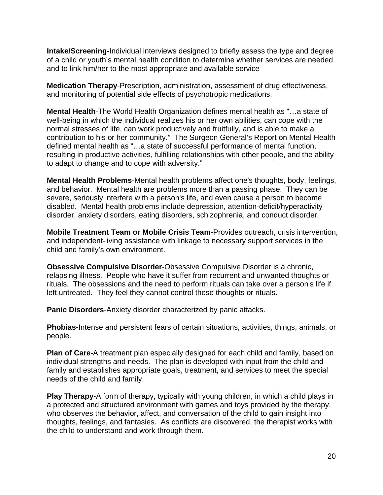**Intake/Screening**-Individual interviews designed to briefly assess the type and degree of a child or youth's mental health condition to determine whether services are needed and to link him/her to the most appropriate and available service

**Medication Therapy**-Prescription, administration, assessment of drug effectiveness, and monitoring of potential side effects of psychotropic medications.

**Mental Health**-The World Health Organization defines mental health as "…a state of well-being in which the individual realizes his or her own abilities, can cope with the normal stresses of life, can work productively and fruitfully, and is able to make a contribution to his or her community." The Surgeon General's Report on Mental Health defined mental health as "…a state of successful performance of mental function, resulting in productive activities, fulfilling relationships with other people, and the ability to adapt to change and to cope with adversity."

**Mental Health Problems**-Mental health problems affect one's thoughts, body, feelings, and behavior. Mental health are problems more than a passing phase. They can be severe, seriously interfere with a person's life, and even cause a person to become disabled. Mental health problems include depression, attention-deficit/hyperactivity disorder, anxiety disorders, eating disorders, schizophrenia, and conduct disorder.

**Mobile Treatment Team or Mobile Crisis Team**-Provides outreach, crisis intervention, and independent-living assistance with linkage to necessary support services in the child and family's own environment.

**Obsessive Compulsive Disorder**-Obsessive Compulsive Disorder is a chronic, relapsing illness. People who have it suffer from recurrent and unwanted thoughts or rituals. The obsessions and the need to perform rituals can take over a person's life if left untreated. They feel they cannot control these thoughts or rituals.

**Panic Disorders**-Anxiety disorder characterized by panic attacks.

**Phobias**-Intense and persistent fears of certain situations, activities, things, animals, or people.

**Plan of Care**-A treatment plan especially designed for each child and family, based on individual strengths and needs. The plan is developed with input from the child and family and establishes appropriate goals, treatment, and services to meet the special needs of the child and family.

**Play Therapy**-A form of therapy, typically with young children, in which a child plays in a protected and structured environment with games and toys provided by the therapy, who observes the behavior, affect, and conversation of the child to gain insight into thoughts, feelings, and fantasies. As conflicts are discovered, the therapist works with the child to understand and work through them.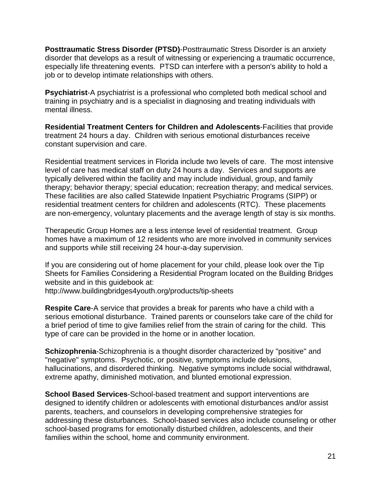**Posttraumatic Stress Disorder (PTSD)**-Posttraumatic Stress Disorder is an anxiety disorder that develops as a result of witnessing or experiencing a traumatic occurrence, especially life threatening events. PTSD can interfere with a person's ability to hold a job or to develop intimate relationships with others.

**Psychiatrist**-A psychiatrist is a professional who completed both medical school and training in psychiatry and is a specialist in diagnosing and treating individuals with mental illness.

**Residential Treatment Centers for Children and Adolescents**-Facilities that provide treatment 24 hours a day. Children with serious emotional disturbances receive constant supervision and care.

Residential treatment services in Florida include two levels of care. The most intensive level of care has medical staff on duty 24 hours a day. Services and supports are typically delivered within the facility and may include individual, group, and family therapy; behavior therapy; special education; recreation therapy; and medical services. These facilities are also called Statewide Inpatient Psychiatric Programs (SIPP) or residential treatment centers for children and adolescents (RTC). These placements are non-emergency, voluntary placements and the average length of stay is six months.

Therapeutic Group Homes are a less intense level of residential treatment. Group homes have a maximum of 12 residents who are more involved in community services and supports while still receiving 24 hour-a-day supervision.

If you are considering out of home placement for your child, please look over the Tip Sheets for Families Considering a Residential Program located on the Building Bridges website and in this guidebook at:

http://www.buildingbridges4youth.org/products/tip-sheets

**Respite Care**-A service that provides a break for parents who have a child with a serious emotional disturbance. Trained parents or counselors take care of the child for a brief period of time to give families relief from the strain of caring for the child. This type of care can be provided in the home or in another location.

**Schizophrenia**-Schizophrenia is a thought disorder characterized by "positive" and "negative" symptoms. Psychotic, or positive, symptoms include delusions, hallucinations, and disordered thinking. Negative symptoms include social withdrawal, extreme apathy, diminished motivation, and blunted emotional expression.

**School Based Services**-School-based treatment and support interventions are designed to identify children or adolescents with emotional disturbances and/or assist parents, teachers, and counselors in developing comprehensive strategies for addressing these disturbances. School-based services also include counseling or other school-based programs for emotionally disturbed children, adolescents, and their families within the school, home and community environment.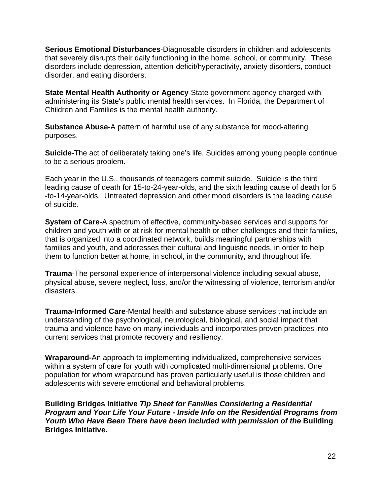**Serious Emotional Disturbances**-Diagnosable disorders in children and adolescents that severely disrupts their daily functioning in the home, school, or community. These disorders include depression, attention-deficit/hyperactivity, anxiety disorders, conduct disorder, and eating disorders.

**State Mental Health Authority or Agency**-State government agency charged with administering its State's public mental health services. In Florida, the Department of Children and Families is the mental health authority.

**Substance Abuse**-A pattern of harmful use of any substance for mood-altering purposes.

**Suicide**-The act of deliberately taking one's life. Suicides among young people continue to be a serious problem.

Each year in the U.S., thousands of teenagers commit suicide. Suicide is the third leading cause of death for 15-to-24-year-olds, and the sixth leading cause of death for 5 -to-14-year-olds. Untreated depression and other mood disorders is the leading cause of suicide.

**System of Care**-A spectrum of effective, community-based services and supports for children and youth with or at risk for mental health or other challenges and their families, that is organized into a coordinated network, builds meaningful partnerships with families and youth, and addresses their cultural and linguistic needs, in order to help them to function better at home, in school, in the community, and throughout life.

**Trauma**-The personal experience of interpersonal violence including sexual abuse, physical abuse, severe neglect, loss, and/or the witnessing of violence, terrorism and/or disasters.

**Trauma-Informed Care**-Mental health and substance abuse services that include an understanding of the psychological, neurological, biological, and social impact that trauma and violence have on many individuals and incorporates proven practices into current services that promote recovery and resiliency.

**Wraparound-**An approach to implementing individualized, comprehensive services within a system of care for youth with complicated multi-dimensional problems. One population for whom wraparound has proven particularly useful is those children and adolescents with severe emotional and behavioral problems.

**Building Bridges Initiative** *Tip Sheet for Families Considering a Residential Program and Your Life Your Future - Inside Info on the Residential Programs from Youth Who Have Been There have been included with permission of the Building* **Bridges Initiative.**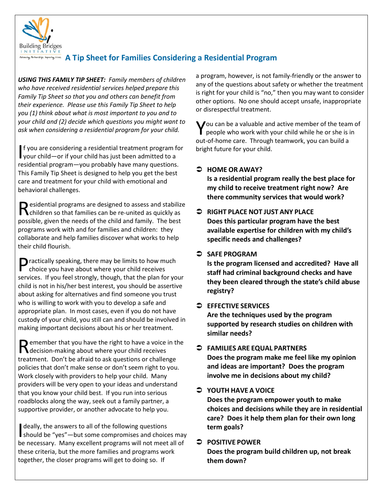

# Administration only a Linguan ing Lines. A Tip Sheet for Families Considering a Residential Program

 *USING THIS FAMILY TIP SHEET: Family members of children who have received residential services helped prepare this their experience. Please use this Family Tip Sheet to help ask when considering a residential program for your child. Family Tip Sheet so that you and others can benefit from you (1) think about what is most important to you and to your child and (2) decide which questions you might want to* 

 residential program—you probably have many questions. This Family Tip Sheet is designed to help you get the best This Family Tip Sheet is designed to help you get the best care and treatment for your child with emotional and I your child—or if your child has just been admitted to a f you are considering a residential treatment program for behavioral challenges.

 $\bigcap$  esidential programs are designed to assess and stabilize Residential programs are designed to assess and stabilize children so that families can be re-united as quickly as possible, given the needs of the child and family. The best programs work with and for families and children: they collaborate and help families discover what works to help their child flourish.

Practically speaking, there may be limits to how much choice you have about where your child receives services. If you feel strongly, though, that the plan for your who is willing to work with you to develop a safe and appropriate plan. In most cases, even if you do not have making important decisions about his or her treatment. choice you have about where your child receives child is not in his/her best interest, you should be assertive about asking for alternatives and find someone you trust custody of your child, you still can and should be involved in

making important decisions about his or her treatment.<br>
Remember that you have the right to have a voice in the decision-making about where your child receives policies that don't make sense or don't seem right to you. Work closely with providers to help your child. Many roadblocks along the way, seek out a family partner, a supportive provider, or another advocate to help you.<br>I deally, the answers to all of the following questions treatment. Don't be afraid to ask questions or challenge providers will be very open to your ideas and understand that you know your child best. If you run into serious

deally, the answers to all of the following questions be necessary. Many excellent programs will not meet all of together, the closer programs will get to doing so. If deally, the answers to all of the following questions<br>should be "yes"—but some compromises and choices may these criteria, but the more families and programs work

 a program, however, is not family-friendly or the answer to other options. No one should accept unsafe, inappropriate any of the questions about safety or whether the treatment is right for your child is "no," then you may want to consider or disrespectful treatment.

 out-of-home care. Through teamwork, you can build a bright future for your child. You can be a valuable and active member of the team of people who work with your child while he or she is in

#### **HOME OR AWAY?**

 **Is a residential program really the best place for my child to receive treatment right now? Are there community services that would work?** 

#### **RIGHT PLACE NOT JUST ANY PLACE Does this particular program have the best available expertise for children with my child's specific needs and challenges?**

#### SAFE PROGRAM

 **registry? Is the program licensed and accredited? Have all staff had criminal background checks and have they been cleared through the state's child abuse** 

#### $\supset$  EFFECTIVE SERVICES

Are the techniques used by the program **supported by research studies on children with similar needs?** 

 **FAMILIES ARE EQUAL PARTNERS involve me in decisions about my child? Does the program make me feel like my opinion and ideas are important? Does the program** 

#### **YOUTH HAVE A VOICE**

**Does the program empower youth to make choices and decisions while they are in residential care? Does it help them plan for their own long term goals?** 

## **POSITIVE POWER**

**Does the program build children up, not break them down?**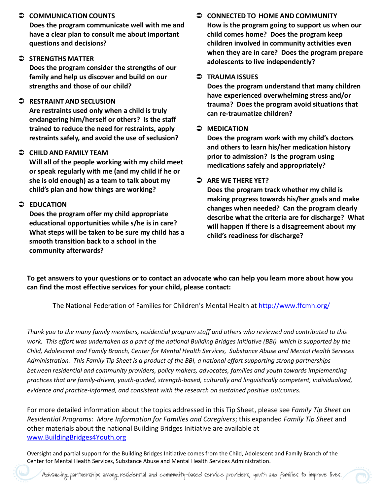**Does the program communicate well with me and have a clear plan to consult me about important questions and decisions?** 

#### **STRENGTHS MATTER**

**Does the program consider the strengths of our family and help us discover and build on our strengths and those of our child?** 

#### **RESTRAINT AND SECLUSION**

 **endangering him/herself or others? Is the staff trained to reduce the need for restraints, apply Are restraints used only when a child is truly restraints safely, and avoid the use of seclusion?** 

#### **CHILD AND FAMILY TEAM**

 **or speak regularly with me (and my child if he or child's plan and how things are working? Will all of the people working with my child meet she is old enough) as a team to talk about my** 

#### **EDUCATION**

 **What steps will be taken to be sure my child has a Does the program offer my child appropriate educational opportunities while s/he is in care? smooth transition back to a school in the community afterwards?** 

#### **CONNECTED TO HOME AND COMMUNITY How is the program going to support us when our child comes home? Does the program keep children involved in community activities even when they are in care? Does the program prepare adolescents to live independently?**

#### $\bullet$  TRAUMA ISSUES

**Does the program understand that many children have experienced overwhelming stress and/or trauma? Does the program avoid situations that can re-traumatize children?** 

#### $\supset$  MEDICATION

 **MEDICATION Does the program work with my child's doctors and others to learn his/her medication history prior to admission? Is the program using medications safely and appropriately?** 

#### **ARE WE THERE YET?**

 **changes when needed? Can the program clearly will happen if there is a disagreement about my Does the program track whether my child is making progress towards his/her goals and make describe what the criteria are for discharge? What child's readiness for discharge?** 

 **To get answers to your questions or to contact an advocate who can help you learn more about how you can find the most effective services for your child, please contact:** 

The National Federation of Families for Children's Mental Health at http://www.ffcmh.org/

 *work. This effort was undertaken as a part of the national Building Bridges Initiative (BBI) which is supported by the Administration. This Family Tip Sheet is a product of the BBI, a national effort supporting strong partnerships Thank you to the many family members, residential program staff and others who reviewed and contributed to this Child, Adolescent and Family Branch, Center for Mental Health Services, Substance Abuse and Mental Health Services between residential and community providers, policy makers, advocates, families and youth towards implementing practices that are family-driven, youth-guided, strength-based, culturally and linguistically competent, individualized, evidence and practice-informed, and consistent with the research on sustained positive outcomes.* ● **COMMUNICATION COUNTS**<br>
Does the program communicate<br>
have a clear plan to consult me<br>
questions and decisions?<br>
→ **STRENGTHS MATTER**<br>
Does the program consider the :<br>
family and help us discover and<br>
strengths and thos

 For more detailed information about the topics addressed in this Tip Sheet, please see *Family Tip Sheet on*  www.BuildingBridges4Youth.org *Residential Programs: More Information for Families and Caregivers*; this expanded *Family Tip Sheet* and other materials about the national Building Bridges Initiative are available at

Oversight and partial support for the Building Bridges Initiative comes from the Child, Adolescent and Family Branch of the Center for Mental Health Services, Substance Abuse and Mental Health Services Administration.